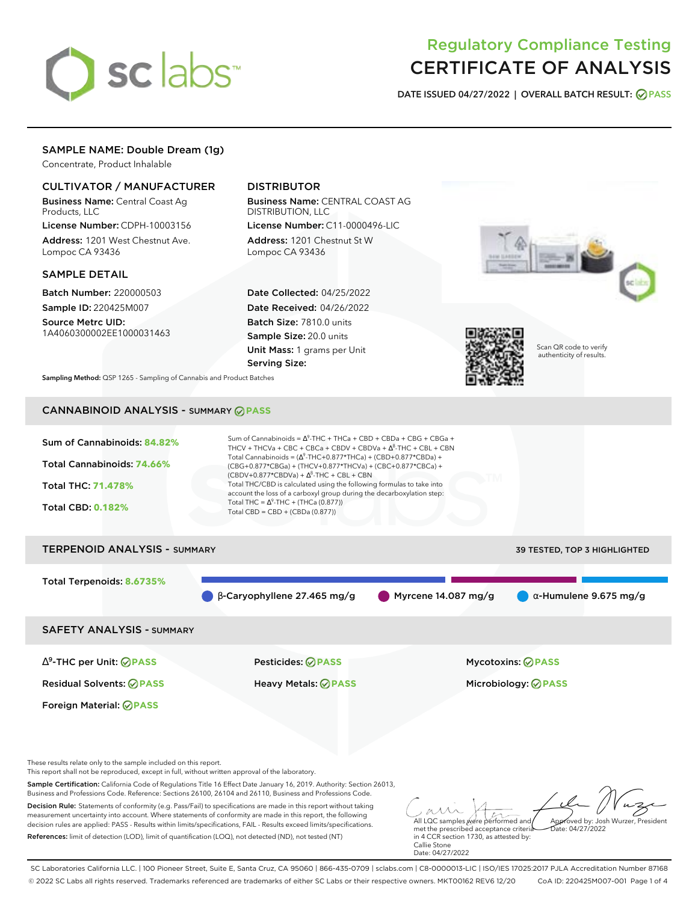# sclabs<sup>\*</sup>

# Regulatory Compliance Testing CERTIFICATE OF ANALYSIS

**DATE ISSUED 04/27/2022 | OVERALL BATCH RESULT: PASS**

# SAMPLE NAME: Double Dream (1g)

Concentrate, Product Inhalable

# CULTIVATOR / MANUFACTURER

Business Name: Central Coast Ag Products, LLC

License Number: CDPH-10003156 Address: 1201 West Chestnut Ave. Lompoc CA 93436

# SAMPLE DETAIL

Batch Number: 220000503 Sample ID: 220425M007 Source Metrc UID:

1A4060300002EE1000031463

# DISTRIBUTOR

Business Name: CENTRAL COAST AG DISTRIBUTION, LLC License Number: C11-0000496-LIC

Address: 1201 Chestnut St W Lompoc CA 93436

Date Collected: 04/25/2022 Date Received: 04/26/2022 Batch Size: 7810.0 units Sample Size: 20.0 units Unit Mass: 1 grams per Unit Serving Size:





Scan QR code to verify authenticity of results.

**Sampling Method:** QSP 1265 - Sampling of Cannabis and Product Batches

# CANNABINOID ANALYSIS - SUMMARY **PASS**



SAFETY ANALYSIS - SUMMARY

∆ 9 -THC per Unit: **PASS** Pesticides: **PASS** Mycotoxins: **PASS**

Foreign Material: **PASS**

Residual Solvents: **PASS** Heavy Metals: **PASS** Microbiology: **PASS**

These results relate only to the sample included on this report.

This report shall not be reproduced, except in full, without written approval of the laboratory.

Sample Certification: California Code of Regulations Title 16 Effect Date January 16, 2019. Authority: Section 26013, Business and Professions Code. Reference: Sections 26100, 26104 and 26110, Business and Professions Code.

Decision Rule: Statements of conformity (e.g. Pass/Fail) to specifications are made in this report without taking measurement uncertainty into account. Where statements of conformity are made in this report, the following decision rules are applied: PASS - Results within limits/specifications, FAIL - Results exceed limits/specifications. References: limit of detection (LOD), limit of quantification (LOQ), not detected (ND), not tested (NT)

All LQC samples were performed and Approved by: Josh Wurzer, President  $ate: 04/27/2022$ 

met the prescribed acceptance criteria in 4 CCR section 1730, as attested by: Callie Stone Date: 04/27/2022

SC Laboratories California LLC. | 100 Pioneer Street, Suite E, Santa Cruz, CA 95060 | 866-435-0709 | sclabs.com | C8-0000013-LIC | ISO/IES 17025:2017 PJLA Accreditation Number 87168 © 2022 SC Labs all rights reserved. Trademarks referenced are trademarks of either SC Labs or their respective owners. MKT00162 REV6 12/20 CoA ID: 220425M007-001 Page 1 of 4